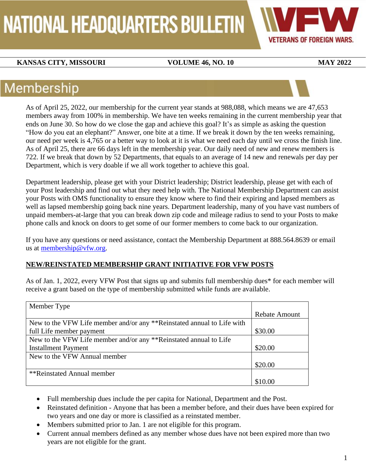# NATIONAL HEADQUARTERS BULLETIN



### **KANSAS CITY, MISSOURI VOLUME 46, NO. 10 MAY 2022**

### Membership

As of April 25, 2022, our membership for the current year stands at 988,088, which means we are 47,653 members away from 100% in membership. We have ten weeks remaining in the current membership year that ends on June 30. So how do we close the gap and achieve this goal? It's as simple as asking the question "How do you eat an elephant?" Answer, one bite at a time. If we break it down by the ten weeks remaining, our need per week is 4,765 or a better way to look at it is what we need each day until we cross the finish line. As of April 25, there are 66 days left in the membership year. Our daily need of new and renew members is 722. If we break that down by 52 Departments, that equals to an average of 14 new and renewals per day per Department, which is very doable if we all work together to achieve this goal.

Department leadership, please get with your District leadership; District leadership, please get with each of your Post leadership and find out what they need help with. The National Membership Department can assist your Posts with OMS functionality to ensure they know where to find their expiring and lapsed members as well as lapsed membership going back nine years. Department leadership, many of you have vast numbers of unpaid members-at-large that you can break down zip code and mileage radius to send to your Posts to make phone calls and knock on doors to get some of our former members to come back to our organization.

If you have any questions or need assistance, contact the Membership Department at 888.564.8639 or email us at [membership@vfw.org.](mailto:membership@vfw.org)

#### **NEW/REINSTATED MEMBERSHIP GRANT INITIATIVE FOR VFW POSTS**

As of Jan. 1, 2022, every VFW Post that signs up and submits full membership dues\* for each member will receive a grant based on the type of membership submitted while funds are available.

| Member Type                                                            |                      |
|------------------------------------------------------------------------|----------------------|
|                                                                        | <b>Rebate Amount</b> |
| New to the VFW Life member and/or any **Reinstated annual to Life with |                      |
| full Life member payment                                               | \$30.00              |
| New to the VFW Life member and/or any **Reinstated annual to Life      |                      |
| <b>Installment Payment</b>                                             | \$20.00              |
| New to the VFW Annual member                                           |                      |
|                                                                        | \$20.00              |
| **Reinstated Annual member                                             |                      |
|                                                                        | \$10.00              |

- Full membership dues include the per capita for National, Department and the Post.
- Reinstated definition Anyone that has been a member before, and their dues have been expired for two years and one day or more is classified as a reinstated member.
- Members submitted prior to Jan. 1 are not eligible for this program.
- Current annual members defined as any member whose dues have not been expired more than two years are not eligible for the grant.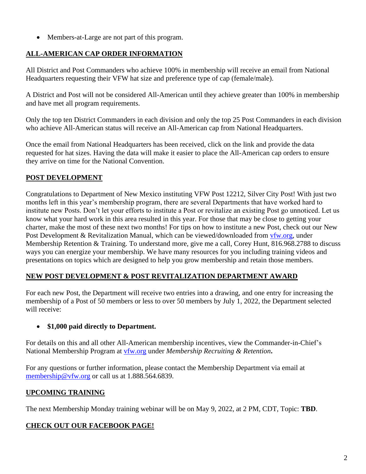• Members-at-Large are not part of this program.

#### **ALL-AMERICAN CAP ORDER INFORMATION**

All District and Post Commanders who achieve 100% in membership will receive an email from National Headquarters requesting their VFW hat size and preference type of cap (female/male).

A District and Post will not be considered All-American until they achieve greater than 100% in membership and have met all program requirements.

Only the top ten District Commanders in each division and only the top 25 Post Commanders in each division who achieve All-American status will receive an All-American cap from National Headquarters.

Once the email from National Headquarters has been received, click on the link and provide the data requested for hat sizes. Having the data will make it easier to place the All-American cap orders to ensure they arrive on time for the National Convention.

#### **POST DEVELOPMENT**

Congratulations to Department of New Mexico instituting VFW Post 12212, Silver City Post! With just two months left in this year's membership program, there are several Departments that have worked hard to institute new Posts. Don't let your efforts to institute a Post or revitalize an existing Post go unnoticed. Let us know what your hard work in this area resulted in this year. For those that may be close to getting your charter, make the most of these next two months! For tips on how to institute a new Post, check out our New Post Development & Revitalization Manual, which can be viewed/downloaded from [vfw.org,](mailto:membership@vfw.org) under Membership Retention & Training. To understand more, give me a call, Corey Hunt, 816.968.2788 to discuss ways you can energize your membership. We have many resources for you including training videos and presentations on topics which are designed to help you grow membership and retain those members.

### **NEW POST DEVELOPMENT & POST REVITALIZATION DEPARTMENT AWARD**

For each new Post, the Department will receive two entries into a drawing, and one entry for increasing the membership of a Post of 50 members or less to over 50 members by July 1, 2022, the Department selected will receive:

#### • **\$1,000 paid directly to Department.**

For details on this and all other All-American membership incentives, view the Commander-in-Chief's National Membership Program at [vfw.org](mailto:membership@vfw.org) under *Membership Recruiting & Retention***.**

For any questions or further information, please contact the Membership Department via email at [membership@vfw.org](mailto:membership@vfw.org) or call us at 1.888.564.6839.

#### **UPCOMING TRAINING**

The next Membership Monday training webinar will be on May 9, 2022, at 2 PM, CDT, Topic: **TBD**.

#### **CHECK OUT OUR FACEBOOK PAGE!**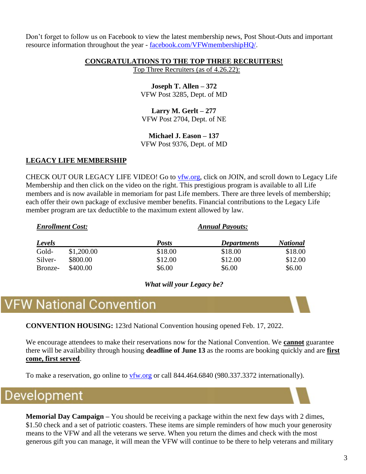Don't forget to follow us on Facebook to view the latest membership news, Post Shout-Outs and important resource information throughout the year - [facebook.com/VFWmembershipHQ/](https://www.facebook.com/VFWmembershipHQ/).

#### **CONGRATULATIONS TO THE TOP THREE RECRUITERS!**

Top Three Recruiters (as of 4.26.22):

**Joseph T. Allen – 372** VFW Post 3285, Dept. of MD

**Larry M. Gerlt – 277** VFW Post 2704, Dept. of NE

**Michael J. Eason – 137** VFW Post 9376, Dept. of MD

#### **LEGACY LIFE MEMBERSHIP**

CHECK OUT OUR LEGACY LIFE VIDEO! Go to [vfw.org,](http://www.vfw.org/) click on JOIN, and scroll down to Legacy Life Membership and then click on the video on the right. This prestigious program is available to all Life members and is now available in memoriam for past Life members. There are three levels of membership; each offer their own package of exclusive member benefits. Financial contributions to the Legacy Life member program are tax deductible to the maximum extent allowed by law.

| <b>Enrollment Cost:</b> |            | <b>Annual Payouts:</b> |                    |                 |
|-------------------------|------------|------------------------|--------------------|-----------------|
| Levels                  |            | <b>Posts</b>           | <b>Departments</b> | <b>National</b> |
| Gold-                   | \$1,200.00 | \$18.00                | \$18.00            | \$18.00         |
| Silver-                 | \$800.00   | \$12.00                | \$12.00            | \$12.00         |
| Bronze-                 | \$400.00   | \$6.00                 | \$6.00             | \$6.00          |

*What will your Legacy be?*

### **VFW National Convention**

**CONVENTION HOUSING:** 123rd National Convention housing opened Feb. 17, 2022.

We encourage attendees to make their reservations now for the National Convention. We **cannot** guarantee there will be availability through housing **deadline of June 13** as the rooms are booking quickly and are **first come, first served**.

To make a reservation, go online to [vfw.org](http://www.vfw.org/) or call 844.464.6840 (980.337.3372 internationally).

### Development

**Memorial Day Campaign –** You should be receiving a package within the next few days with 2 dimes, \$1.50 check and a set of patriotic coasters. These items are simple reminders of how much your generosity means to the VFW and all the veterans we serve. When you return the dimes and check with the most generous gift you can manage, it will mean the VFW will continue to be there to help veterans and military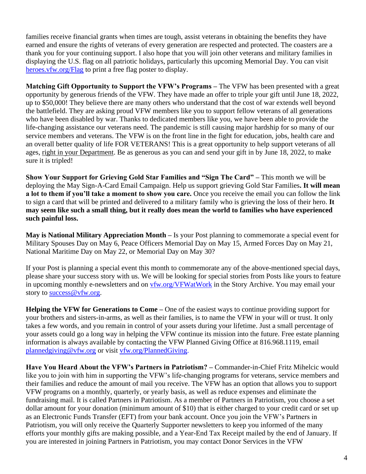families receive financial grants when times are tough, assist veterans in obtaining the benefits they have earned and ensure the rights of veterans of every generation are respected and protected. The coasters are a thank you for your continuing support. I also hope that you will join other veterans and military families in displaying the U.S. flag on all patriotic holidays, particularly this upcoming Memorial Day. You can visit [heroes.vfw.org/Flag](https://heroes.vfw.org/ea-campaign/action.retrievestaticpage.do?ea_static_page_id=5024) to print a free flag poster to display.

**Matching Gift Opportunity to Support the VFW's Programs –** The VFW has been presented with a great opportunity by generous friends of the VFW. They have made an offer to triple your gift until June 18, 2022, up to \$50,000! They believe there are many others who understand that the cost of war extends well beyond the battlefield. They are asking proud VFW members like you to support fellow veterans of all generations who have been disabled by war. Thanks to dedicated members like you, we have been able to provide the life-changing assistance our veterans need. The pandemic is still causing major hardship for so many of our service members and veterans. The VFW is on the front line in the fight for education, jobs, health care and an overall better quality of life FOR VETERANS! This is a great opportunity to help support veterans of all ages, right in your Department. Be as generous as you can and send your gift in by June 18, 2022, to make sure it is tripled!

**Show Your Support for Grieving Gold Star Families and "Sign The Card" –** This month we will be deploying the May Sign-A-Card Email Campaign. Help us support grieving Gold Star Families**. It will mean a lot to them if you'll take a moment to show you care.** Once you receive the email you can follow the link to sign a card that will be printed and delivered to a military family who is grieving the loss of their hero. **It may seem like such a small thing, but it really does mean the world to families who have experienced such painful loss.** 

**May is National Military Appreciation Month –** Is your Post planning to commemorate a special event for Military Spouses Day on May 6, Peace Officers Memorial Day on May 15, Armed Forces Day on May 21, National Maritime Day on May 22, or Memorial Day on May 30?

If your Post is planning a special event this month to commemorate any of the above-mentioned special days, please share your success story with us. We will be looking for special stories from Posts like yours to feature in upcoming monthly e-newsletters and on [vfw.org/VFWatWork](http://www.vfw.org/vfwatwork) in the Story Archive. You may email your story to [success@vfw.org.](mailto:success@vfw.org)

**Helping the VFW for Generations to Come –** One of the easiest ways to continue providing support for your brothers and sisters-in-arms, as well as their families, is to name the VFW in your will or trust. It only takes a few words, and you remain in control of your assets during your lifetime. Just a small percentage of your assets could go a long way in helping the VFW continue its mission into the future. Free estate planning information is always available by contacting the VFW Planned Giving Office at 816.968.1119, email [plannedgiving@vfw.org](mailto:plannedgiving@vfw.org) or visit [vfw.org/PlannedGiving.](http://www.vfw.org/plannedgiving)

**Have You Heard About the VFW's Partners in Patriotism? –** Commander-in-Chief Fritz Mihelcic would like you to join with him in supporting the VFW's life-changing programs for veterans, service members and their families and reduce the amount of mail you receive. The VFW has an option that allows you to support VFW programs on a monthly, quarterly, or yearly basis, as well as reduce expenses and eliminate the fundraising mail. It is called Partners in Patriotism. As a member of Partners in Patriotism, you choose a set dollar amount for your donation (minimum amount of \$10) that is either charged to your credit card or set up as an Electronic Funds Transfer (EFT) from your bank account. Once you join the VFW's Partners in Patriotism, you will only receive the Quarterly Supporter newsletters to keep you informed of the many efforts your monthly gifts are making possible, and a Year-End Tax Receipt mailed by the end of January. If you are interested in joining Partners in Patriotism, you may contact Donor Services in the VFW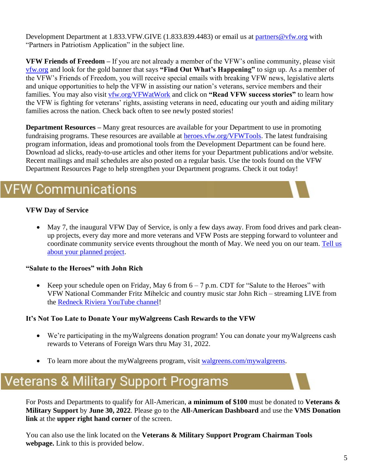Development Department at 1.833.VFW.GIVE (1.833.839.4483) or email us at [partners@vfw.org](mailto:partners@vfw.org) with "Partners in Patriotism Application" in the subject line.

**VFW Friends of Freedom –** If you are not already a member of the VFW's online community, please visit [vfw.org](http://www.vfw.org/) and look for the gold banner that says **"Find Out What's Happening"** to sign up. As a member of the VFW's Friends of Freedom, you will receive special emails with breaking VFW news, legislative alerts and unique opportunities to help the VFW in assisting our nation's veterans, service members and their families. You may also visit [vfw.org/VFWatWork](http://www.vfw.org/vfwatwork) and click on **"Read VFW success stories"** to learn how the VFW is fighting for veterans' rights, assisting veterans in need, educating our youth and aiding military families across the nation. Check back often to see newly posted stories!

**Department Resources –** Many great resources are available for your Department to use in promoting fundraising programs. These resources are available at heroes. vfw.org/VFWTools. The latest fundraising program information, ideas and promotional tools from the Development Department can be found here. Download ad slicks, ready-to-use articles and other items for your Department publications and/or website. Recent mailings and mail schedules are also posted on a regular basis. Use the tools found on the VFW Department Resources Page to help strengthen your Department programs. Check it out today!

### **FW Communications**

#### **VFW Day of Service**

• May 7, the inaugural VFW Day of Service, is only a few days away. From food drives and park cleanup projects, every day more and more veterans and VFW Posts are stepping forward to volunteer and coordinate community service events throughout the month of May. We need you on our team. Tell us [about your planned project.](https://protect-us.mimecast.com/s/JgufCG62x4hrQyxtQvfrN)

#### **"Salute to the Heroes" with John Rich**

• Keep your schedule open on Friday, May 6 from  $6 - 7$  p.m. CDT for "Salute to the Heroes" with VFW National Commander Fritz Mihelcic and country music star John Rich – streaming LIVE from the [Redneck Riviera YouTube channel!](https://www.youtube.com/user/realredneckriviera)

#### **It's Not Too Late to Donate Your myWalgreens Cash Rewards to the VFW**

- We're participating in the myWalgreens donation program! You can donate your myWalgreens cash rewards to Veterans of Foreign Wars thru May 31, 2022.
- To learn more about the myWalgreens program, visit [walgreens.com/mywalgreens.](https://www.walgreens.com/topic/promotion/mywalgreens.jsp)

### **Veterans & Military Support Programs**

For Posts and Departments to qualify for All-American, **a minimum of \$100** must be donated to **Veterans & Military Support** by **June 30, 2022**. Please go to the **All-American Dashboard** and use the **VMS Donation link** at the **upper right hand corner** of the screen.

You can also use the link located on the **Veterans & Military Support Program Chairman Tools webpage.** Link to this is provided below.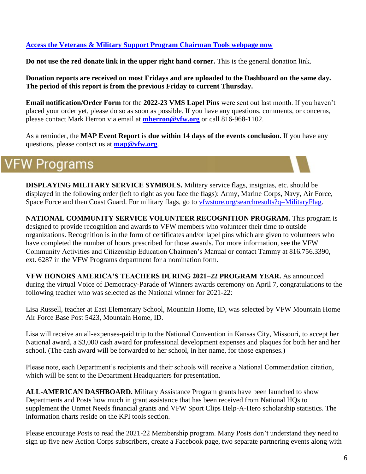#### **[Access the Veterans & Military Support Program Chairman Tools webpage now](https://www.vfw.org/community/troop-support/VMSP-Chair-Tools)**

**Do not use the red donate link in the upper right hand corner.** This is the general donation link.

**Donation reports are received on most Fridays and are uploaded to the Dashboard on the same day. The period of this report is from the previous Friday to current Thursday.**

**Email notification/Order Form** for the **2022-23 VMS Lapel Pins** were sent out last month. If you haven't placed your order yet, please do so as soon as possible. If you have any questions, comments, or concerns, please contact Mark Herron via email at **[mherron@vfw.org](mailto:mherron@vfw.org)** or call 816-968-1102.

As a reminder, the **MAP Event Report** is **due within 14 days of the events conclusion.** If you have any questions, please contact us at **[map@vfw.org](mailto:map@vfw.org)**.

### **VFW Programs**

**DISPLAYING MILITARY SERVICE SYMBOLS.** Military service flags, insignias, etc. should be displayed in the following order (left to right as you face the flags): Army, Marine Corps, Navy, Air Force, Space Force and then Coast Guard. For military flags, go to [vfwstore.org/searchresults?q=MilitaryFlag.](https://www.vfwstore.org/searchresults?q=MilitaryFlag)

**NATIONAL COMMUNITY SERVICE VOLUNTEER RECOGNITION PROGRAM.** This program is designed to provide recognition and awards to VFW members who volunteer their time to outside organizations. Recognition is in the form of certificates and/or lapel pins which are given to volunteers who have completed the number of hours prescribed for those awards. For more information, see the VFW Community Activities and Citizenship Education Chairmen's Manual or contact Tammy at 816.756.3390, ext. 6287 in the VFW Programs department for a nomination form.

**VFW HONORS AMERICA'S TEACHERS DURING 2021–22 PROGRAM YEAR.** As announced during the virtual Voice of Democracy-Parade of Winners awards ceremony on April 7, congratulations to the following teacher who was selected as the National winner for 2021-22:

Lisa Russell, teacher at East Elementary School, Mountain Home, ID, was selected by VFW Mountain Home Air Force Base Post 5423, Mountain Home, ID.

Lisa will receive an all-expenses-paid trip to the National Convention in Kansas City, Missouri, to accept her National award, a \$3,000 cash award for professional development expenses and plaques for both her and her school. (The cash award will be forwarded to her school, in her name, for those expenses.)

Please note, each Department's recipients and their schools will receive a National Commendation citation, which will be sent to the Department Headquarters for presentation.

**ALL-AMERICAN DASHBOARD.** Military Assistance Program grants have been launched to show Departments and Posts how much in grant assistance that has been received from National HQs to supplement the Unmet Needs financial grants and VFW Sport Clips Help-A-Hero scholarship statistics. The information charts reside on the KPI tools section.

Please encourage Posts to read the 2021-22 Membership program. Many Posts don't understand they need to sign up five new Action Corps subscribers, create a Facebook page, two separate partnering events along with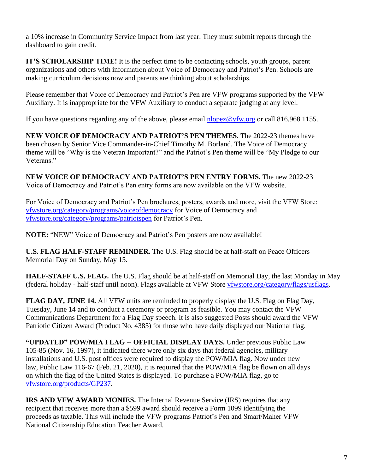a 10% increase in Community Service Impact from last year. They must submit reports through the dashboard to gain credit.

**IT'S SCHOLARSHIP TIME!** It is the perfect time to be contacting schools, youth groups, parent organizations and others with information about Voice of Democracy and Patriot's Pen. Schools are making curriculum decisions now and parents are thinking about scholarships.

Please remember that Voice of Democracy and Patriot's Pen are VFW programs supported by the VFW Auxiliary. It is inappropriate for the VFW Auxiliary to conduct a separate judging at any level.

If you have questions regarding any of the above, please email [nlopez@vfw.org](mailto:nlopez@vfw.org) or call 816.968.1155.

**NEW VOICE OF DEMOCRACY AND PATRIOT'S PEN THEMES.** The 2022-23 themes have been chosen by Senior Vice Commander-in-Chief Timothy M. Borland. The Voice of Democracy theme will be "Why is the Veteran Important?" and the Patriot's Pen theme will be "My Pledge to our Veterans."

**NEW VOICE OF DEMOCRACY AND PATRIOT'S PEN ENTRY FORMS.** The new 2022-23 Voice of Democracy and Patriot's Pen entry forms are now available on the VFW website.

For Voice of Democracy and Patriot's Pen brochures, posters, awards and more, visit the VFW Store: [vfwstore.org/category/programs/voiceofdemocracy](http://www.vfwstore.org/category/programs/voiceofdemocracy) for Voice of Democracy and [vfwstore.org/category/programs/patriotspen](http://www.vfwstore.org/category/programs/patriotspen) for Patriot's Pen.

**NOTE:** "NEW" Voice of Democracy and Patriot's Pen posters are now available!

**U.S. FLAG HALF-STAFF REMINDER.** The U.S. Flag should be at half-staff on Peace Officers Memorial Day on Sunday, May 15.

**HALF-STAFF U.S. FLAG.** The U.S. Flag should be at half-staff on Memorial Day, the last Monday in May (federal holiday - half-staff until noon). Flags available at VFW Store [vfwstore.org/category/flags/usflags.](http://www.vfwstore.org/category/flags/usflags)

**FLAG DAY, JUNE 14.** All VFW units are reminded to properly display the U.S. Flag on Flag Day, Tuesday, June 14 and to conduct a ceremony or program as feasible. You may contact the VFW Communications Department for a Flag Day speech. It is also suggested Posts should award the VFW Patriotic Citizen Award (Product No. 4385) for those who have daily displayed our National flag.

**"UPDATED" POW/MIA FLAG -- OFFICIAL DISPLAY DAYS.** Under previous Public Law 105-85 (Nov. 16, 1997), it indicated there were only six days that federal agencies, military installations and U.S. post offices were required to display the POW/MIA flag. Now under new law, Public Law 116-67 (Feb. 21, 2020), it is required that the POW/MIA flag be flown on all days on which the flag of the United States is displayed. To purchase a POW/MIA flag, go to [vfwstore.org/products/GP237.](http://www.vfwstore.org/products/GP237)

**IRS AND VFW AWARD MONIES.** The Internal Revenue Service (IRS) requires that any recipient that receives more than a \$599 award should receive a Form 1099 identifying the proceeds as taxable. This will include the VFW programs Patriot's Pen and Smart/Maher VFW National Citizenship Education Teacher Award.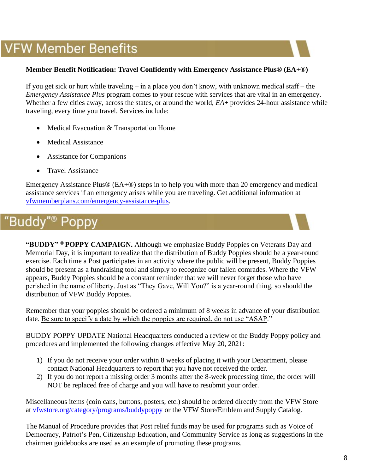### **VFW Member Benefits**

#### **Member Benefit Notification: Travel Confidently with Emergency Assistance Plus® (EA+®)**

If you get sick or hurt while traveling – in a place you don't know, with unknown medical staff – the *Emergency Assistance Plus* program comes to your rescue with services that are vital in an emergency. Whether a few cities away, across the states, or around the world,  $EA$ + provides 24-hour assistance while traveling, every time you travel. Services include:

- Medical Evacuation & Transportation Home
- Medical Assistance
- Assistance for Companions
- Travel Assistance

Emergency Assistance Plus® (EA+®) steps in to help you with more than 20 emergency and medical assistance services if an emergency arises while you are traveling. Get additional information at [vfwmemberplans.com/emergency-assistance-plus.](http://www.vfwmemberplans.com/emergency-assistance-plus)

#### "Buddy"<sup>®</sup> Poppy

**"BUDDY" ® POPPY CAMPAIGN.** Although we emphasize Buddy Poppies on Veterans Day and Memorial Day, it is important to realize that the distribution of Buddy Poppies should be a year-round exercise. Each time a Post participates in an activity where the public will be present, Buddy Poppies should be present as a fundraising tool and simply to recognize our fallen comrades. Where the VFW appears, Buddy Poppies should be a constant reminder that we will never forget those who have perished in the name of liberty. Just as "They Gave, Will You?" is a year-round thing, so should the distribution of VFW Buddy Poppies.

Remember that your poppies should be ordered a minimum of 8 weeks in advance of your distribution date. Be sure to specify a date by which the poppies are required, do not use "ASAP."

BUDDY POPPY UPDATE National Headquarters conducted a review of the Buddy Poppy policy and procedures and implemented the following changes effective May 20, 2021:

- 1) If you do not receive your order within 8 weeks of placing it with your Department, please contact National Headquarters to report that you have not received the order.
- 2) If you do not report a missing order 3 months after the 8-week processing time, the order will NOT be replaced free of charge and you will have to resubmit your order.

Miscellaneous items (coin cans, buttons, posters, etc.) should be ordered directly from the VFW Store at [vfwstore.org/category/programs/buddypoppy](https://www.vfwstore.org/category/programs/buddypoppy) or the VFW Store/Emblem and Supply Catalog.

The Manual of Procedure provides that Post relief funds may be used for programs such as Voice of Democracy, Patriot's Pen, Citizenship Education, and Community Service as long as suggestions in the chairmen guidebooks are used as an example of promoting these programs.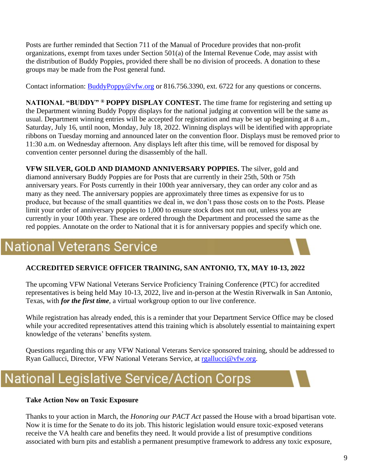Posts are further reminded that Section 711 of the Manual of Procedure provides that non-profit organizations, exempt from taxes under Section 501(a) of the Internal Revenue Code, may assist with the distribution of Buddy Poppies, provided there shall be no division of proceeds. A donation to these groups may be made from the Post general fund.

Contact information: [BuddyPoppy@vfw.org](mailto:BuddyPoppy@vfw.org) or 816.756.3390, ext. 6722 for any questions or concerns.

**NATIONAL "BUDDY" ® POPPY DISPLAY CONTEST.** The time frame for registering and setting up the Department winning Buddy Poppy displays for the national judging at convention will be the same as usual. Department winning entries will be accepted for registration and may be set up beginning at 8 a.m., Saturday, July 16, until noon, Monday, July 18, 2022. Winning displays will be identified with appropriate ribbons on Tuesday morning and announced later on the convention floor. Displays must be removed prior to 11:30 a.m. on Wednesday afternoon. Any displays left after this time, will be removed for disposal by convention center personnel during the disassembly of the hall.

**VFW SILVER, GOLD AND DIAMOND ANNIVERSARY POPPIES.** The silver, gold and diamond anniversary Buddy Poppies are for Posts that are currently in their 25th, 50th or 75th anniversary years. For Posts currently in their 100th year anniversary, they can order any color and as many as they need. The anniversary poppies are approximately three times as expensive for us to produce, but because of the small quantities we deal in, we don't pass those costs on to the Posts. Please limit your order of anniversary poppies to 1,000 to ensure stock does not run out, unless you are currently in your 100th year. These are ordered through the Department and processed the same as the red poppies. Annotate on the order to National that it is for anniversary poppies and specify which one.

### **National Veterans Service**

#### **ACCREDITED SERVICE OFFICER TRAINING, SAN ANTONIO, TX, MAY 10-13, 2022**

The upcoming VFW National Veterans Service Proficiency Training Conference (PTC) for accredited representatives is being held May 10-13, 2022, live and in-person at the Westin Riverwalk in San Antonio, Texas, with *for the first time*, a virtual workgroup option to our live conference.

While registration has already ended, this is a reminder that your Department Service Office may be closed while your accredited representatives attend this training which is absolutely essential to maintaining expert knowledge of the veterans' benefits system.

Questions regarding this or any VFW National Veterans Service sponsored training, should be addressed to Ryan Gallucci, Director, VFW National Veterans Service, at [rgallucci@vfw.org.](mailto:rgallucci@vfw.org)

## **National Legislative Service/Action Corps**

#### **Take Action Now on Toxic Exposure**

Thanks to your action in March, the *Honoring our PACT Act* passed the House with a broad bipartisan vote. Now it is time for the Senate to do its job. This historic legislation would ensure toxic-exposed veterans receive the VA health care and benefits they need. It would provide a list of presumptive conditions associated with burn pits and establish a permanent presumptive framework to address any toxic exposure,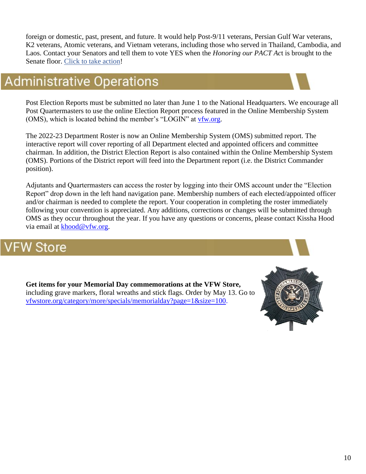foreign or domestic, past, present, and future. It would help Post-9/11 veterans, Persian Gulf War veterans, K2 veterans, Atomic veterans, and Vietnam veterans, including those who served in Thailand, Cambodia, and Laos. Contact your Senators and tell them to vote YES when the *Honoring our PACT Ac*t is brought to the Senate floor. Click to [take action!](https://votervoice.net/VFW/Campaigns/93807/Respond)

### **Administrative Operations**

Post Election Reports must be submitted no later than June 1 to the National Headquarters. We encourage all Post Quartermasters to use the online Election Report process featured in the Online Membership System (OMS), which is located behind the member's "LOGIN" at [vfw.org.](http://www.vfw.org/)

The 2022-23 Department Roster is now an Online Membership System (OMS) submitted report. The interactive report will cover reporting of all Department elected and appointed officers and committee chairman. In addition, the District Election Report is also contained within the Online Membership System (OMS). Portions of the District report will feed into the Department report (i.e. the District Commander position).

Adjutants and Quartermasters can access the roster by logging into their OMS account under the "Election Report" drop down in the left hand navigation pane. Membership numbers of each elected/appointed officer and/or chairman is needed to complete the report. Your cooperation in completing the roster immediately following your convention is appreciated. Any additions, corrections or changes will be submitted through OMS as they occur throughout the year. If you have any questions or concerns, please contact Kissha Hood via email at [khood@vfw.org.](mailto:khood@vfw.org)

### V Store

**Get items for your Memorial Day commemorations at the VFW Store,**  including grave markers, floral wreaths and stick flags. Order by May 13. Go to [vfwstore.org/category/more/specials/memorialday?page=1&size=100.](http://www.vfwstore.org/category/more/specials/memorialday?page=1&size=100)

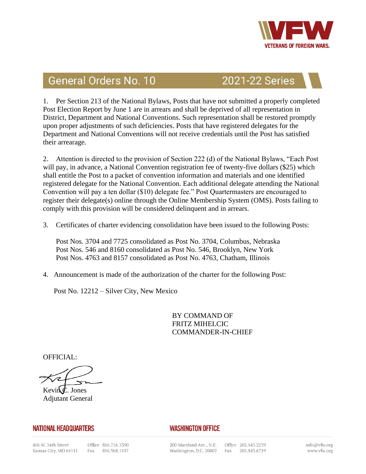

### **General Orders No. 10**

### **2021-22 Series**

1. Per Section 213 of the National Bylaws, Posts that have not submitted a properly completed Post Election Report by June 1 are in arrears and shall be deprived of all representation in District, Department and National Conventions. Such representation shall be restored promptly upon proper adjustments of such deficiencies. Posts that have registered delegates for the Department and National Conventions will not receive credentials until the Post has satisfied their arrearage.

2. Attention is directed to the provision of Section 222 (d) of the National Bylaws, "Each Post will pay, in advance, a National Convention registration fee of twenty-five dollars (\$25) which shall entitle the Post to a packet of convention information and materials and one identified registered delegate for the National Convention. Each additional delegate attending the National Convention will pay a ten dollar (\$10) delegate fee." Post Quartermasters are encouraged to register their delegate(s) online through the Online Membership System (OMS). Posts failing to comply with this provision will be considered delinquent and in arrears.

3. Certificates of charter evidencing consolidation have been issued to the following Posts:

Post Nos. 3704 and 7725 consolidated as Post No. 3704, Columbus, Nebraska Post Nos. 546 and 8160 consolidated as Post No. 546, Brooklyn, New York Post Nos. 4763 and 8157 consolidated as Post No. 4763, Chatham, Illinois

4. Announcement is made of the authorization of the charter for the following Post:

Post No. 12212 – Silver City, New Mexico

BY COMMAND OF FRITZ MIHELCIC COMMANDER-IN-CHIEF

OFFICIAL:

Kevin $\oint$ . Jones Adjutant General

#### **NATIONAL HEADQUARTERS**

Office 816.756.3390 Fax 816.968.1157

#### **WASHINGTON OFFICE**

200 Maryland Ave., N.E. Washington, D.C. 20002 Fax 202.543.6719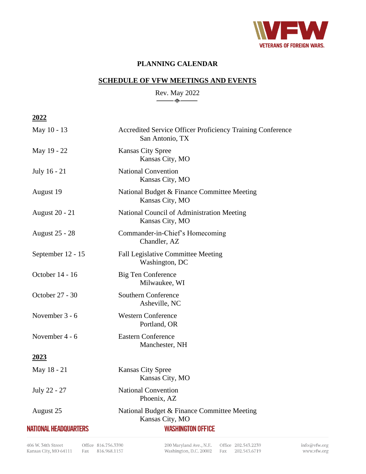

#### **PLANNING CALENDAR**

#### **SCHEDULE OF VFW MEETINGS AND EVENTS**

Rev. May 2022  $-\diamondsuit$ 

**2022**

| May 10 - 13                  | Accredited Service Officer Proficiency Training Conference<br>San Antonio, TX |
|------------------------------|-------------------------------------------------------------------------------|
| May 19 - 22                  | <b>Kansas City Spree</b><br>Kansas City, MO                                   |
| July 16 - 21                 | <b>National Convention</b><br>Kansas City, MO                                 |
| August 19                    | National Budget & Finance Committee Meeting<br>Kansas City, MO                |
| <b>August 20 - 21</b>        | National Council of Administration Meeting<br>Kansas City, MO                 |
| <b>August 25 - 28</b>        | Commander-in-Chief's Homecoming<br>Chandler, AZ                               |
| September 12 - 15            | <b>Fall Legislative Committee Meeting</b><br>Washington, DC                   |
| October 14 - 16              | Big Ten Conference<br>Milwaukee, WI                                           |
| October 27 - 30              | <b>Southern Conference</b><br>Asheville, NC                                   |
| November 3 - 6               | <b>Western Conference</b><br>Portland, OR                                     |
| November 4 - 6               | <b>Eastern Conference</b><br>Manchester, NH                                   |
| 2023                         |                                                                               |
| May 18 - 21                  | <b>Kansas City Spree</b><br>Kansas City, MO                                   |
| July 22 - 27                 | <b>National Convention</b><br>Phoenix, AZ                                     |
| August 25                    | National Budget & Finance Committee Meeting<br>Kansas City, MO                |
| <b>NATIONAL HEADQUARTERS</b> | <b>WASHINGTON OFFICE</b>                                                      |